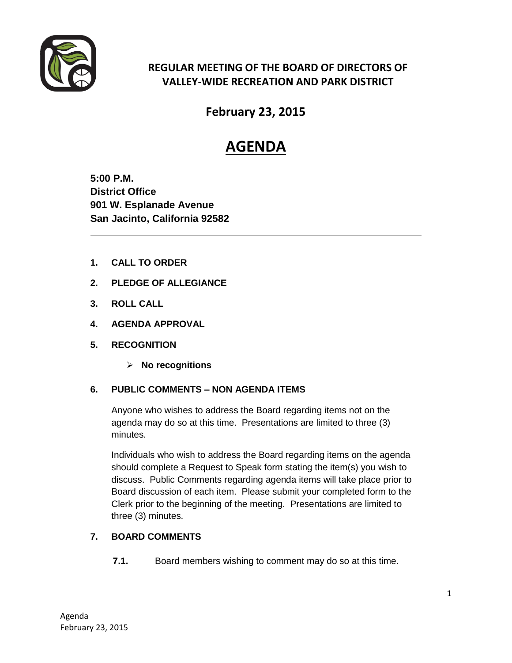

## **REGULAR MEETING OF THE BOARD OF DIRECTORS OF VALLEY-WIDE RECREATION AND PARK DISTRICT**

**February 23, 2015**

# **AGENDA**

**5:00 P.M. District Office 901 W. Esplanade Avenue San Jacinto, California 92582**

- **1. CALL TO ORDER**
- **2. PLEDGE OF ALLEGIANCE**
- **3. ROLL CALL**
- **4. AGENDA APPROVAL**
- **5. RECOGNITION** 
	- **No recognitions**

## **6. PUBLIC COMMENTS – NON AGENDA ITEMS**

Anyone who wishes to address the Board regarding items not on the agenda may do so at this time. Presentations are limited to three (3) minutes.

Individuals who wish to address the Board regarding items on the agenda should complete a Request to Speak form stating the item(s) you wish to discuss. Public Comments regarding agenda items will take place prior to Board discussion of each item. Please submit your completed form to the Clerk prior to the beginning of the meeting. Presentations are limited to three (3) minutes.

## **7. BOARD COMMENTS**

**7.1.** Board members wishing to comment may do so at this time.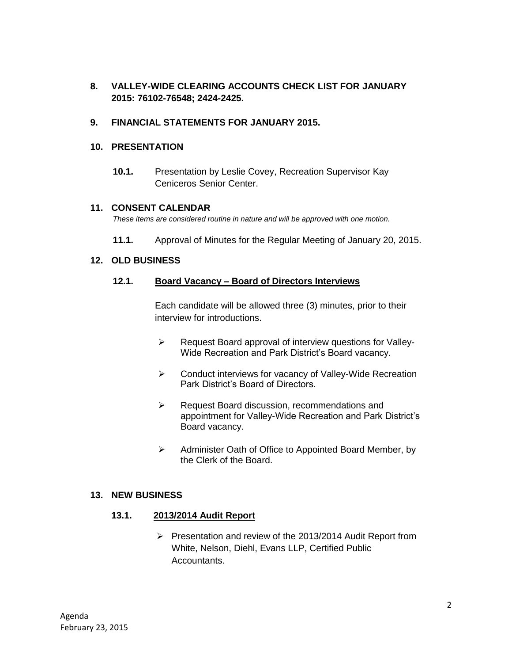**8. VALLEY-WIDE CLEARING ACCOUNTS CHECK LIST FOR JANUARY 2015: 76102-76548; 2424-2425.** 

#### **9. FINANCIAL STATEMENTS FOR JANUARY 2015.**

#### **10. PRESENTATION**

**10.1.** Presentation by Leslie Covey, Recreation Supervisor Kay Ceniceros Senior Center.

#### **11. CONSENT CALENDAR**

*These items are considered routine in nature and will be approved with one motion.* 

**11.1.** Approval of Minutes for the Regular Meeting of January 20, 2015.

#### **12. OLD BUSINESS**

#### **12.1. Board Vacancy – Board of Directors Interviews**

Each candidate will be allowed three (3) minutes, prior to their interview for introductions.

- $\triangleright$  Request Board approval of interview questions for Valley-Wide Recreation and Park District's Board vacancy.
- ▶ Conduct interviews for vacancy of Valley-Wide Recreation Park District's Board of Directors.
- ▶ Request Board discussion, recommendations and appointment for Valley-Wide Recreation and Park District's Board vacancy.
- $\triangleright$  Administer Oath of Office to Appointed Board Member, by the Clerk of the Board.

#### **13. NEW BUSINESS**

#### **13.1. 2013/2014 Audit Report**

 $\triangleright$  Presentation and review of the 2013/2014 Audit Report from White, Nelson, Diehl, Evans LLP, Certified Public Accountants.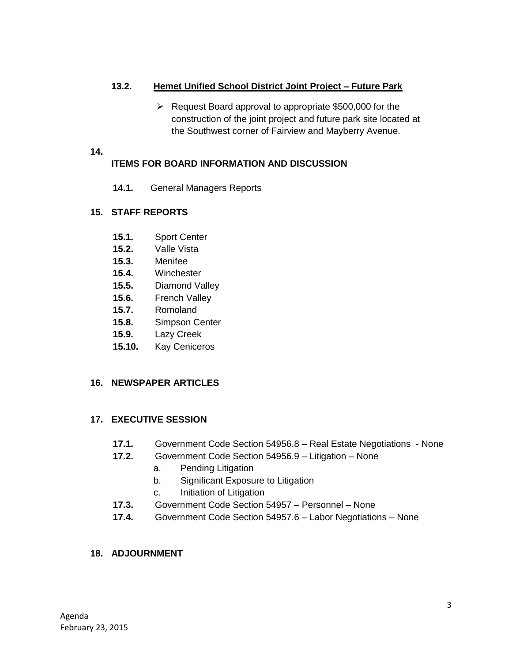## **13.2. Hemet Unified School District Joint Project – Future Park**

 $\triangleright$  Request Board approval to appropriate \$500,000 for the construction of the joint project and future park site located at the Southwest corner of Fairview and Mayberry Avenue.

#### **14.**

## **ITEMS FOR BOARD INFORMATION AND DISCUSSION**

**14.1.** General Managers Reports

## **15. STAFF REPORTS**

- **15.1.** Sport Center
- **15.2.** Valle Vista
- **15.3.** Menifee
- **15.4.** Winchester
- **15.5.** Diamond Valley
- **15.6.** French Valley
- **15.7.** Romoland
- **15.8.** Simpson Center
- **15.9.** Lazy Creek
- **15.10.** Kay Ceniceros

#### **16. NEWSPAPER ARTICLES**

## **17. EXECUTIVE SESSION**

- **17.1.** Government Code Section 54956.8 Real Estate Negotiations None
- **17.2.** Government Code Section 54956.9 Litigation None
	- a. Pending Litigation
	- b. Significant Exposure to Litigation
	- c. Initiation of Litigation
- **17.3.** Government Code Section 54957 Personnel None
- **17.4.** Government Code Section 54957.6 Labor Negotiations None

## **18. ADJOURNMENT**